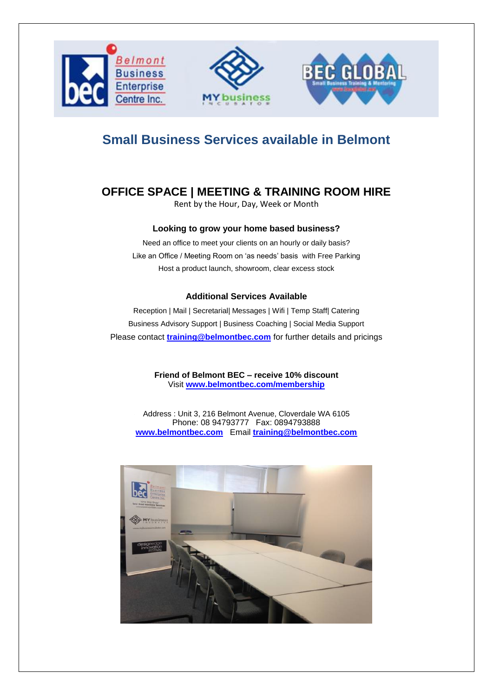

## **Small Business Services available in Belmont**

### **OFFICE SPACE | MEETING & TRAINING ROOM HIRE**

Rent by the Hour, Day, Week or Month

#### **Looking to grow your home based business?**

Need an office to meet your clients on an hourly or daily basis? Like an Office / Meeting Room on 'as needs' basis with Free Parking Host a product launch, showroom, clear excess stock

#### **Additional Services Available**

Reception | Mail | Secretarial| Messages | Wifi | Temp Staff| Catering Business Advisory Support | Business Coaching | Social Media Support Please contact **[training@belmontbec.com](mailto:training@belmontbec.com)** for further details and pricings

> **Friend of Belmont BEC – receive 10% discount**  Visit **[www.belmontbec.com/membership](http://www.belmontbec.com/membership)**

Address : Unit 3, 216 Belmont Avenue, Cloverdale WA 6105 Phone: 08 94793777 Fax: 0894793888 **[www.belmontbec.com](http://www.belmontbec.com/)** Email **[training@belmontbec.com](mailto:training@belmontbec.com)**

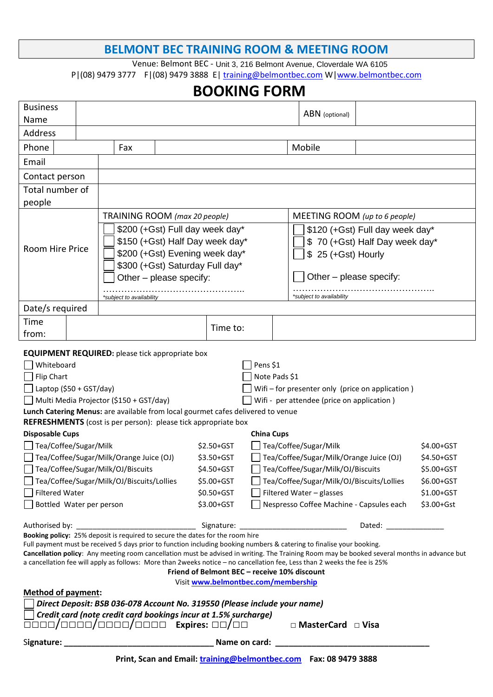#### **BELMONT BEC TRAINING ROOM & MEETING ROOM**

Venue: Belmont BEC - Unit 3, 216 Belmont Avenue, Cloverdale WA 6105 P|(08) 9479 3777 F|(08) 9479 3888 E[| training@belmontbec.com](mailto:training@belmontbec.com) W[|www.belmontbec.com](http://www.belmontbec.com/)

# **BOOKING FORM**

| <b>Business</b>                                                                                                                                                                                                                                                                                                                                                                                                                                                                                                                                                                                                                                                                                                                                                                                                                                                                                                                                                                                                                                               |  |                                 |     |  |  |          |  |                                                                                  | ABN (optional)                  |  |  |  |
|---------------------------------------------------------------------------------------------------------------------------------------------------------------------------------------------------------------------------------------------------------------------------------------------------------------------------------------------------------------------------------------------------------------------------------------------------------------------------------------------------------------------------------------------------------------------------------------------------------------------------------------------------------------------------------------------------------------------------------------------------------------------------------------------------------------------------------------------------------------------------------------------------------------------------------------------------------------------------------------------------------------------------------------------------------------|--|---------------------------------|-----|--|--|----------|--|----------------------------------------------------------------------------------|---------------------------------|--|--|--|
| Name                                                                                                                                                                                                                                                                                                                                                                                                                                                                                                                                                                                                                                                                                                                                                                                                                                                                                                                                                                                                                                                          |  |                                 |     |  |  |          |  |                                                                                  |                                 |  |  |  |
| Address                                                                                                                                                                                                                                                                                                                                                                                                                                                                                                                                                                                                                                                                                                                                                                                                                                                                                                                                                                                                                                                       |  |                                 |     |  |  |          |  |                                                                                  |                                 |  |  |  |
| Phone                                                                                                                                                                                                                                                                                                                                                                                                                                                                                                                                                                                                                                                                                                                                                                                                                                                                                                                                                                                                                                                         |  |                                 | Fax |  |  |          |  |                                                                                  | Mobile                          |  |  |  |
| Email                                                                                                                                                                                                                                                                                                                                                                                                                                                                                                                                                                                                                                                                                                                                                                                                                                                                                                                                                                                                                                                         |  |                                 |     |  |  |          |  |                                                                                  |                                 |  |  |  |
| Contact person                                                                                                                                                                                                                                                                                                                                                                                                                                                                                                                                                                                                                                                                                                                                                                                                                                                                                                                                                                                                                                                |  |                                 |     |  |  |          |  |                                                                                  |                                 |  |  |  |
| Total number of                                                                                                                                                                                                                                                                                                                                                                                                                                                                                                                                                                                                                                                                                                                                                                                                                                                                                                                                                                                                                                               |  |                                 |     |  |  |          |  |                                                                                  |                                 |  |  |  |
| people                                                                                                                                                                                                                                                                                                                                                                                                                                                                                                                                                                                                                                                                                                                                                                                                                                                                                                                                                                                                                                                        |  |                                 |     |  |  |          |  |                                                                                  |                                 |  |  |  |
| <b>Room Hire Price</b>                                                                                                                                                                                                                                                                                                                                                                                                                                                                                                                                                                                                                                                                                                                                                                                                                                                                                                                                                                                                                                        |  | TRAINING ROOM (max 20 people)   |     |  |  |          |  |                                                                                  | MEETING ROOM (up to 6 people)   |  |  |  |
|                                                                                                                                                                                                                                                                                                                                                                                                                                                                                                                                                                                                                                                                                                                                                                                                                                                                                                                                                                                                                                                               |  | \$200 (+Gst) Full day week day* |     |  |  |          |  |                                                                                  | \$120 (+Gst) Full day week day* |  |  |  |
|                                                                                                                                                                                                                                                                                                                                                                                                                                                                                                                                                                                                                                                                                                                                                                                                                                                                                                                                                                                                                                                               |  | \$150 (+Gst) Half Day week day* |     |  |  |          |  |                                                                                  | \$70 (+Gst) Half Day week day*  |  |  |  |
|                                                                                                                                                                                                                                                                                                                                                                                                                                                                                                                                                                                                                                                                                                                                                                                                                                                                                                                                                                                                                                                               |  | \$200 (+Gst) Evening week day*  |     |  |  |          |  |                                                                                  | \$ 25 (+Gst) Hourly             |  |  |  |
|                                                                                                                                                                                                                                                                                                                                                                                                                                                                                                                                                                                                                                                                                                                                                                                                                                                                                                                                                                                                                                                               |  | \$300 (+Gst) Saturday Full day* |     |  |  |          |  |                                                                                  |                                 |  |  |  |
|                                                                                                                                                                                                                                                                                                                                                                                                                                                                                                                                                                                                                                                                                                                                                                                                                                                                                                                                                                                                                                                               |  | Other - please specify:         |     |  |  |          |  |                                                                                  | Other – please specify:         |  |  |  |
|                                                                                                                                                                                                                                                                                                                                                                                                                                                                                                                                                                                                                                                                                                                                                                                                                                                                                                                                                                                                                                                               |  | *subject to availability        |     |  |  |          |  |                                                                                  | *subject to availability        |  |  |  |
| Date/s required                                                                                                                                                                                                                                                                                                                                                                                                                                                                                                                                                                                                                                                                                                                                                                                                                                                                                                                                                                                                                                               |  |                                 |     |  |  |          |  |                                                                                  |                                 |  |  |  |
| Time                                                                                                                                                                                                                                                                                                                                                                                                                                                                                                                                                                                                                                                                                                                                                                                                                                                                                                                                                                                                                                                          |  |                                 |     |  |  | Time to: |  |                                                                                  |                                 |  |  |  |
| from:                                                                                                                                                                                                                                                                                                                                                                                                                                                                                                                                                                                                                                                                                                                                                                                                                                                                                                                                                                                                                                                         |  |                                 |     |  |  |          |  |                                                                                  |                                 |  |  |  |
| <b>EQUIPMENT REQUIRED:</b> please tick appropriate box<br>Whiteboard<br>Pens \$1<br>Flip Chart<br>Note Pads \$1<br>Laptop (\$50 + GST/day)<br>Wifi - for presenter only (price on application)<br>Multi Media Projector (\$150 + GST/day)<br>Wifi - per attendee (price on application)<br>Lunch Catering Menus: are available from local gourmet cafes delivered to venue<br><b>REFRESHMENTS</b> (cost is per person): please tick appropriate box<br><b>Disposable Cups</b><br><b>China Cups</b><br>Tea/Coffee/Sugar/Milk<br>Tea/Coffee/Sugar/Milk<br>$$2.50 + GST$<br>Tea/Coffee/Sugar/Milk/Orange Juice (OJ)<br>Tea/Coffee/Sugar/Milk/Orange Juice (OJ)<br>\$3.50+GST<br>Tea/Coffee/Sugar/Milk/OJ/Biscuits<br>Tea/Coffee/Sugar/Milk/OJ/Biscuits<br>\$4.50+GST<br>Tea/Coffee/Sugar/Milk/OJ/Biscuits/Lollies<br>Tea/Coffee/Sugar/Milk/OJ/Biscuits/Lollies<br>\$5.00+GST<br><b>Filtered Water</b><br>\$0.50+GST<br>Filtered Water - glasses<br>Nespresso Coffee Machine - Capsules each<br>Bottled Water per person<br>\$3.00+GST<br>Dated: ________________ |  |                                 |     |  |  |          |  | \$4.00+GST<br>\$4.50+GST<br>\$5.00+GST<br>\$6.00+GST<br>\$1.00+GST<br>\$3.00+Gst |                                 |  |  |  |
| Booking policy: 25% deposit is required to secure the dates for the room hire<br>Full payment must be received 5 days prior to function including booking numbers & catering to finalise your booking.<br>Cancellation policy: Any meeting room cancellation must be advised in writing. The Training Room may be booked several months in advance but<br>a cancellation fee will apply as follows: More than 2weeks notice - no cancellation fee, Less than 2 weeks the fee is 25%<br>Friend of Belmont BEC - receive 10% discount<br>Visit www.belmontbec.com/membership<br><b>Method of payment:</b><br>Direct Deposit: BSB 036-078 Account No. 319550 (Please include your name)<br>Credit card (note credit card bookings incur at 1.5% surcharge)<br>0000/0000/0000/0000 Expires: 00/00<br>□ MasterCard □ Visa                                                                                                                                                                                                                                          |  |                                 |     |  |  |          |  |                                                                                  |                                 |  |  |  |
|                                                                                                                                                                                                                                                                                                                                                                                                                                                                                                                                                                                                                                                                                                                                                                                                                                                                                                                                                                                                                                                               |  |                                 |     |  |  |          |  |                                                                                  |                                 |  |  |  |
| Print, Scan and Email: training@belmontbec.com    Fax: 08 9479 3888                                                                                                                                                                                                                                                                                                                                                                                                                                                                                                                                                                                                                                                                                                                                                                                                                                                                                                                                                                                           |  |                                 |     |  |  |          |  |                                                                                  |                                 |  |  |  |